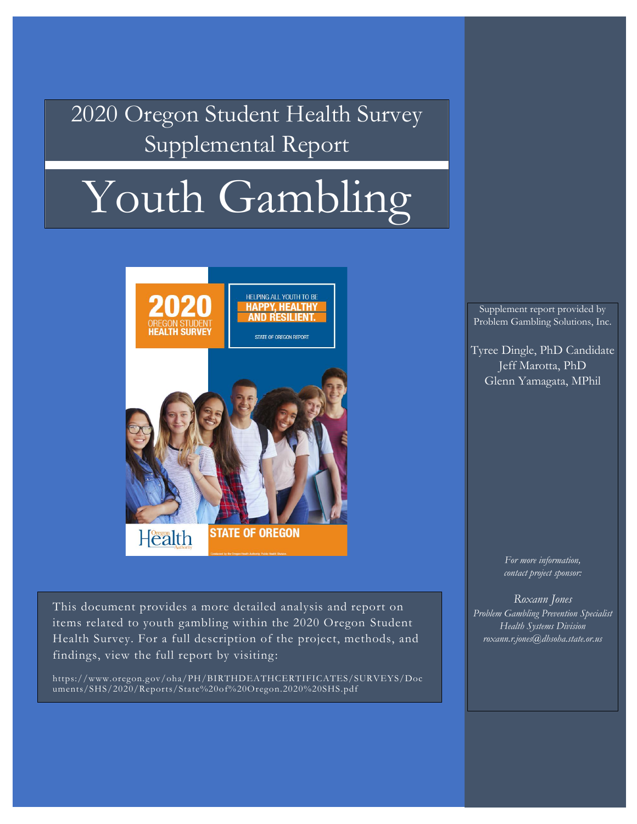**Executive Supplemental Report** 2020 Oregon Student Health Survey

#### Gambling and problems related to gambling are pervasive in the general public  $\sqrt{a^{n+1}}$ Consistently, findings support that gambling and problems associated with gambling are Youth Gambling



medications without a doctors consent, and using illicit drugs. Findings from this This document provides a more detailed analysis and report on items related to youth gambling within the 2020 Oregon Student  $\begin{array}{c|c} \hline \end{array}$   $\begin{array}{c} \hline \end{array}$ Health Survey. For a full description of the project, methods, and findings, view the full report by visiting:

https://www.oregon.gov/oha/PH/BIRTHDEATHCERTIFICATES/SURVEYS/Doc uments/SHS/2020/Reports/State%20of%20Oregon.2020%20SHS.pdf

Supplement report provided by Identifying as Male Problem Gambling Solutions, Inc.

 $\mathcal{H}_{\text{Trace}}$  and a childhood experience childhood experience childhood experience childhood experience childhood experience childhood experience children  $\mathcal{H}_{\text{E}}$ Tyree Dingle, PhD Candidate  $\begin{bmatrix} 1 & 0 \\ 0 & 0 \end{bmatrix}$ Feeling Schenn Yamagata, MPhil Jeff Marotta, PhD

Considering/Attempting suicide Having sex Drinking alcohol Using tobacco (regardless of method) Using cannabis Using prescription medication Using illicit drugs

using tobacco (smoking, vaping, chewing), using cannabis, using prescription *For more information, contact project sponsor:*

> *Roxann Jones Problem Gambling Prevention Specialist Health Systems Division roxann.r.jones@dhsoha.state.or.us*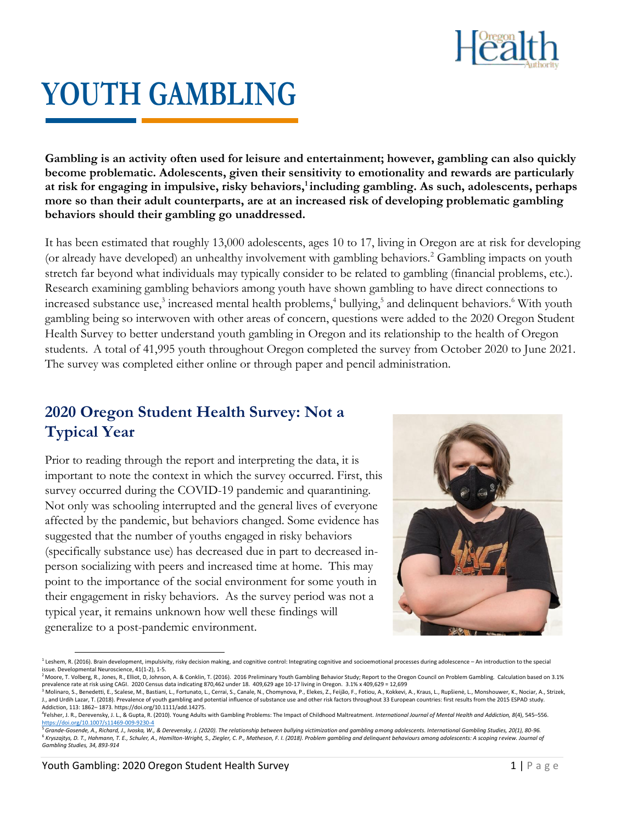

# **YOUTH GAMBLING**

**Gambling is an activity often used for leisure and entertainment; however, gambling can also quickly become problematic. Adolescents, given their sensitivity to emotionality and rewards are particularly at risk for engaging in impulsive, risky behaviors,<sup>1</sup> including gambling. As such, adolescents, perhaps more so than their adult counterparts, are at an increased risk of developing problematic gambling behaviors should their gambling go unaddressed.** 

It has been estimated that roughly 13,000 adolescents, ages 10 to 17, living in Oregon are at risk for developing (or already have developed) an unhealthy involvement with gambling behaviors.<sup>2</sup> Gambling impacts on youth stretch far beyond what individuals may typically consider to be related to gambling (financial problems, etc.). Research examining gambling behaviors among youth have shown gambling to have direct connections to increased substance use,<sup>3</sup> increased mental health problems,<sup>4</sup> bullying,<sup>5</sup> and delinquent behaviors.<sup>6</sup> With youth gambling being so interwoven with other areas of concern, questions were added to the 2020 Oregon Student Health Survey to better understand youth gambling in Oregon and its relationship to the health of Oregon students. A total of 41,995 youth throughout Oregon completed the survey from October 2020 to June 2021. The survey was completed either online or through paper and pencil administration.

#### **2020 Oregon Student Health Survey: Not a Typical Year**

Prior to reading through the report and interpreting the data, it is important to note the context in which the survey occurred. First, this survey occurred during the COVID-19 pandemic and quarantining. Not only was schooling interrupted and the general lives of everyone affected by the pandemic, but behaviors changed. Some evidence has suggested that the number of youths engaged in risky behaviors (specifically substance use) has decreased due in part to decreased inperson socializing with peers and increased time at home. This may point to the importance of the social environment for some youth in their engagement in risky behaviors. As the survey period was not a typical year, it remains unknown how well these findings will generalize to a post-pandemic environment.



<sup>&</sup>lt;sup>1</sup> Leshem, R. (2016). Brain development, impulsivity, risky decision making, and cognitive control: Integrating cognitive and socioemotional processes during adolescence – An introduction to the special issue. Developmental Neuroscience, 41(1-2), 1-5.

<sup>&</sup>lt;sup>2</sup> Moore, T. Volberg, R., Jones, R., Elliot, D., Johnson, A. & Conklin, T. (2016). 2016 Preliminary Youth Gambling Behavior Study; Report to the Oregon Council on Problem Gambling. Calculation based on 3.1% prevalence rate at risk using CAGI. 2020 Census data indicating 870,462 under 18. 409,629 age 10-17 living in Oregon. 3.1% x 409,629 = 12,699<br><sup>3</sup> Molinaro, S., Benedetti, E., Scalese, M., Bastiani, L., Fortunato, L., Cerra

J., and Urdih Lazar, T. (2018). Prevalence of youth gambling and potential influence of substance use and other risk factors throughout 33 European countries: first results from the 2015 ESPAD study. Addiction, 113: 1862– 1873. https://doi.org/10.1111/add.14275.

<sup>4</sup> Felsher, J. R., Derevensky, J. L., & Gupta, R. (2010). Young Adults with Gambling Problems: The Impact of Childhood Maltreatment. *International Journal of Mental Health and Addiction, 8*(4), 545–556. <https://doi.org/10.1007/s11469-009-9230-4>

<sup>5</sup>*Grande-Gosende, A., Richard, J., Ivoska, W., & Derevensky, J. (2020). The relationship between bullying victimization and gambling among adolescents. International Gambling Studies, 20(1), 80-96.* <sup>6</sup> Kryszajtys, D. T., Hahmann, T. E., Schuler, A., Hamilton-Wright, S., Ziegler, C. P., Matheson, F. I. (2018). Problem gambling and delinquent behaviours among adolescents: A scoping review. Journal of *Gambling Studies, 34, 893-914*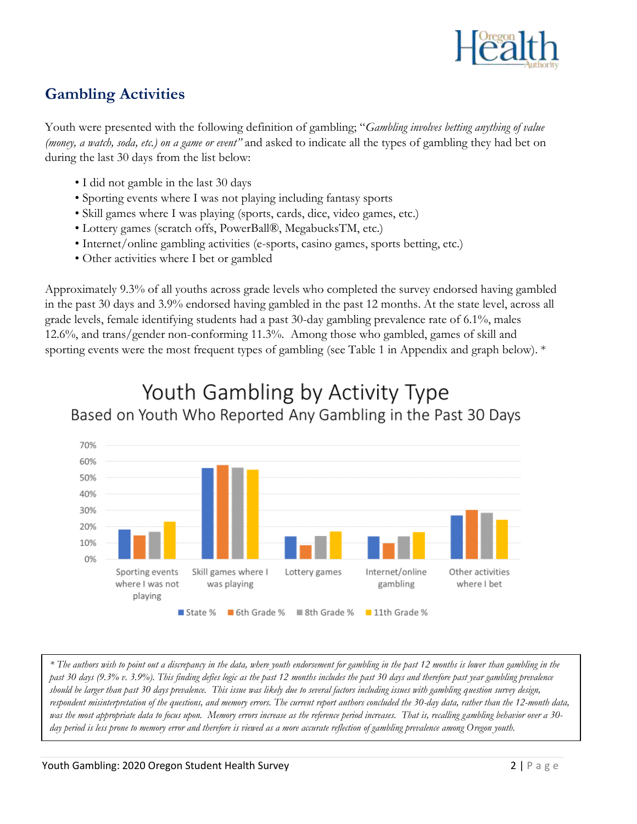

# **Gambling Activities**

Youth were presented with the following definition of gambling; "*Gambling involves betting anything of value (money, a watch, soda, etc.) on a game or event"* and asked to indicate all the types of gambling they had bet on during the last 30 days from the list below:

- I did not gamble in the last 30 days
- Sporting events where I was not playing including fantasy sports
- Skill games where I was playing (sports, cards, dice, video games, etc.)
- Lottery games (scratch offs, PowerBall®, MegabucksTM, etc.)
- Internet/online gambling activities (e-sports, casino games, sports betting, etc.)
- Other activities where I bet or gambled

Approximately 9.3% of all youths across grade levels who completed the survey endorsed having gambled in the past 30 days and 3.9% endorsed having gambled in the past 12 months. At the state level, across all grade levels, female identifying students had a past 30-day gambling prevalence rate of 6.1%, males 12.6%, and trans/gender non-conforming 11.3%. Among those who gambled, games of skill and sporting events were the most frequent types of gambling (see Table 1 in Appendix and graph below). \*



# Youth Gambling by Activity Type Based on Youth Who Reported Any Gambling in the Past 30 Days

*\* The authors wish to point out a discrepancy in the data, where youth endorsement for gambling in the past 12 months is lower than gambling in the past 30 days (9.3% v. 3.9%). This finding defies logic as the past 12 months includes the past 30 days and therefore past year gambling prevalence should be larger than past 30 days prevalence. This issue was likely due to several factors including issues with gambling question survey design, respondent misinterpretation of the questions, and memory errors. The current report authors concluded the 30-day data, rather than the 12-month data, was the most appropriate data to focus upon. Memory errors increase as the reference period increases. That is, recalling gambling behavior over a 30 day period is less prone to memory error and therefore is viewed as a more accurate reflection of gambling prevalence among Oregon youth.*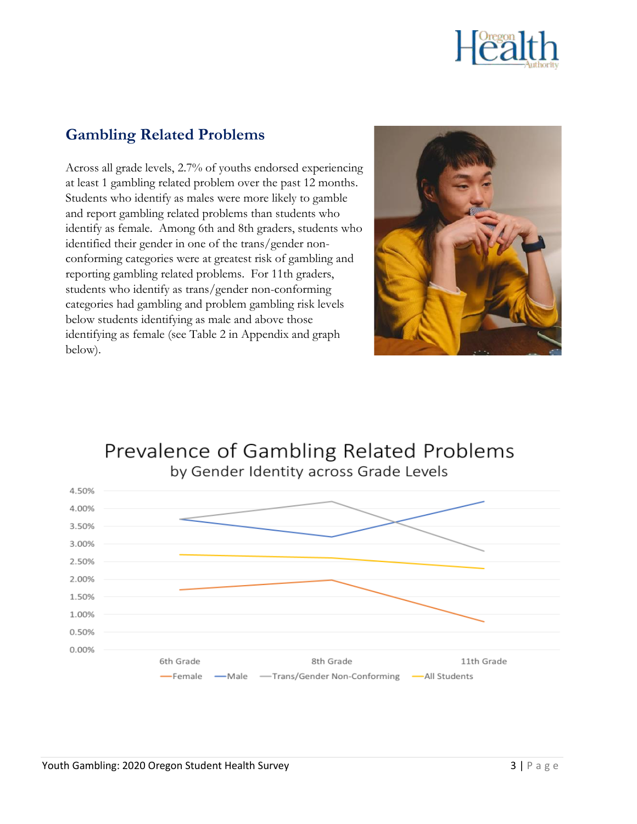

#### **Gambling Related Problems**

Across all grade levels, 2.7% of youths endorsed experiencing at least 1 gambling related problem over the past 12 months. Students who identify as males were more likely to gamble and report gambling related problems than students who identify as female. Among 6th and 8th graders, students who identified their gender in one of the trans/gender nonconforming categories were at greatest risk of gambling and reporting gambling related problems. For 11th graders, students who identify as trans/gender non-conforming categories had gambling and problem gambling risk levels below students identifying as male and above those identifying as female (see Table 2 in Appendix and graph below).



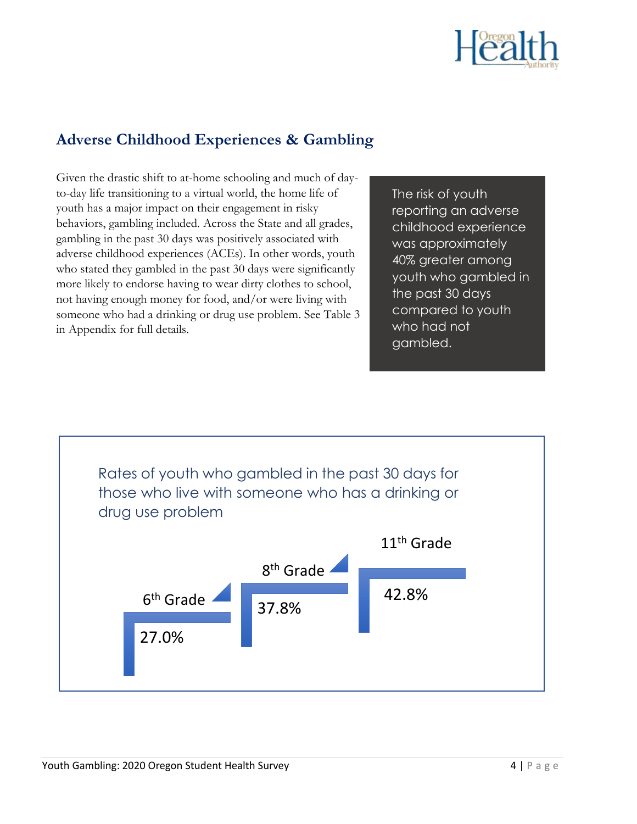

#### **Adverse Childhood Experiences & Gambling**

Given the drastic shift to at-home schooling and much of dayto-day life transitioning to a virtual world, the home life of youth has a major impact on their engagement in risky behaviors, gambling included. Across the State and all grades, gambling in the past 30 days was positively associated with adverse childhood experiences (ACEs). In other words, youth who stated they gambled in the past 30 days were significantly more likely to endorse having to wear dirty clothes to school, not having enough money for food, and/or were living with someone who had a drinking or drug use problem. See Table 3 in Appendix for full details.

The risk of youth reporting an adverse childhood experience was approximately 40% greater among youth who gambled in the past 30 days compared to youth who had not gambled.

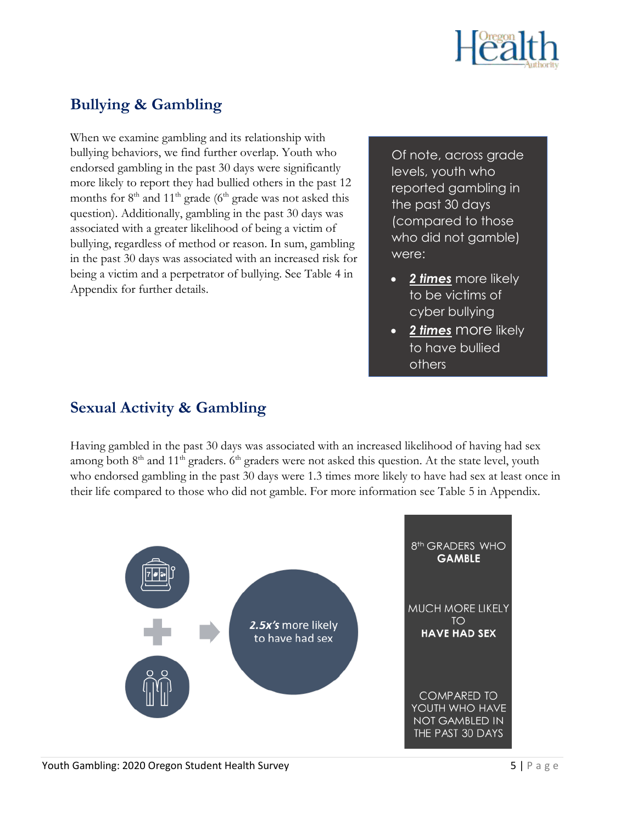

#### **Bullying & Gambling**

When we examine gambling and its relationship with bullying behaviors, we find further overlap. Youth who endorsed gambling in the past 30 days were significantly more likely to report they had bullied others in the past 12 months for  $8<sup>th</sup>$  and  $11<sup>th</sup>$  grade (6<sup>th</sup> grade was not asked this question). Additionally, gambling in the past 30 days was associated with a greater likelihood of being a victim of bullying, regardless of method or reason. In sum, gambling in the past 30 days was associated with an increased risk for being a victim and a perpetrator of bullying. See Table 4 in Appendix for further details.

Of note, across grade levels, youth who reported gambling in the past 30 days (compared to those who did not gamble) were:

- *2 times* more likely to be victims of cyber bullying
- *2 times* more likely to have bullied others

#### **Sexual Activity & Gambling**

Having gambled in the past 30 days was associated with an increased likelihood of having had sex among both 8<sup>th</sup> and 11<sup>th</sup> graders. 6<sup>th</sup> graders were not asked this question. At the state level, youth who endorsed gambling in the past 30 days were 1.3 times more likely to have had sex at least once in their life compared to those who did not gamble. For more information see Table 5 in Appendix.

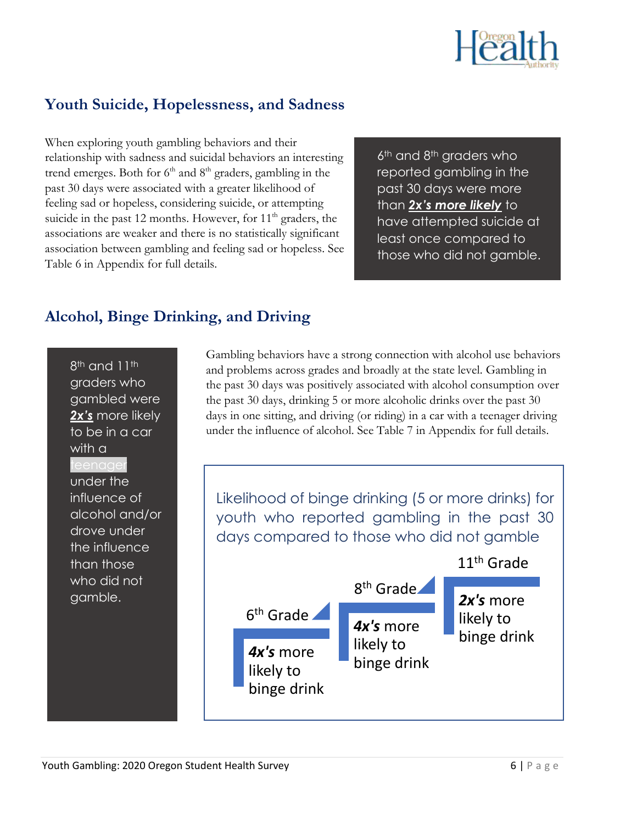

#### **Youth Suicide, Hopelessness, and Sadness**

When exploring youth gambling behaviors and their relationship with sadness and suicidal behaviors an interesting trend emerges. Both for  $6<sup>th</sup>$  and  $8<sup>th</sup>$  graders, gambling in the past 30 days were associated with a greater likelihood of feeling sad or hopeless, considering suicide, or attempting suicide in the past 12 months. However, for  $11<sup>th</sup>$  graders, the associations are weaker and there is no statistically significant association between gambling and feeling sad or hopeless. See Table 6 in Appendix for full details.

6<sup>th</sup> and 8<sup>th</sup> graders who reported gambling in the past 30 days were more than *2x's more likely* to have attempted suicide at least once compared to those who did not gamble.

## **Alcohol, Binge Drinking, and Driving**

8<sup>th</sup> and 11<sup>th</sup> graders who gambled were *2x's* more likely to be in a car with a under the influence of alcohol and/or drove under the influence than those who did not gamble.

Gambling behaviors have a strong connection with alcohol use behaviors and problems across grades and broadly at the state level. Gambling in the past 30 days was positively associated with alcohol consumption over the past 30 days, drinking 5 or more alcoholic drinks over the past 30 days in one sitting, and driving (or riding) in a car with a teenager driving under the influence of alcohol. See Table 7 in Appendix for full details.

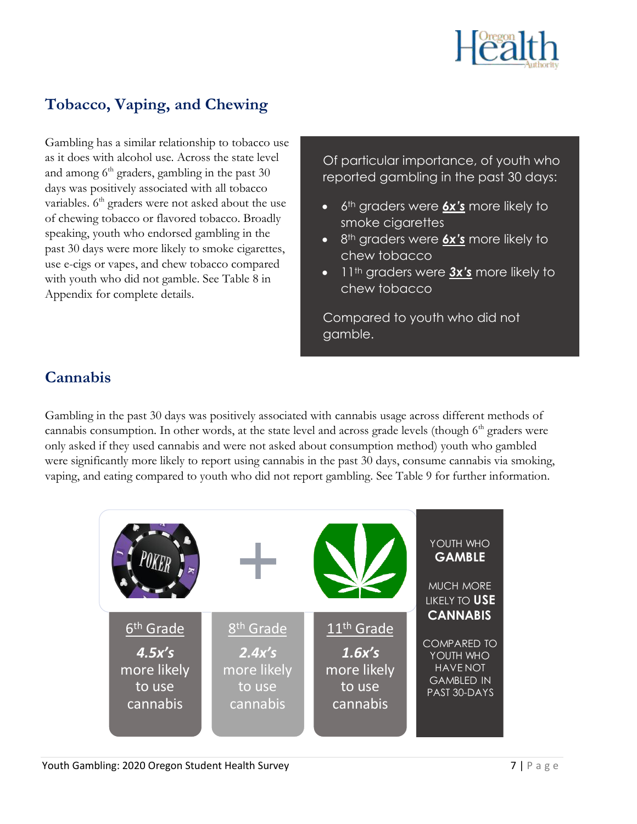

#### **Tobacco, Vaping, and Chewing**

Gambling has a similar relationship to tobacco use as it does with alcohol use. Across the state level and among  $6<sup>th</sup>$  graders, gambling in the past 30 days was positively associated with all tobacco variables. 6<sup>th</sup> graders were not asked about the use of chewing tobacco or flavored tobacco. Broadly speaking, youth who endorsed gambling in the past 30 days were more likely to smoke cigarettes, use e-cigs or vapes, and chew tobacco compared with youth who did not gamble. See Table 8 in Appendix for complete details.

Of particular importance, of youth who reported gambling in the past 30 days:

- 6th graders were *6x's* more likely to smoke cigarettes
- 8th graders were *6x's* more likely to chew tobacco
- 11th graders were *3x's* more likely to chew tobacco

Compared to youth who did not gamble.

# **Cannabis**

Gambling in the past 30 days was positively associated with cannabis usage across different methods of cannabis consumption. In other words, at the state level and across grade levels (though  $6<sup>th</sup>$  graders were only asked if they used cannabis and were not asked about consumption method) youth who gambled were significantly more likely to report using cannabis in the past 30 days, consume cannabis via smoking, vaping, and eating compared to youth who did not report gambling. See Table 9 for further information.

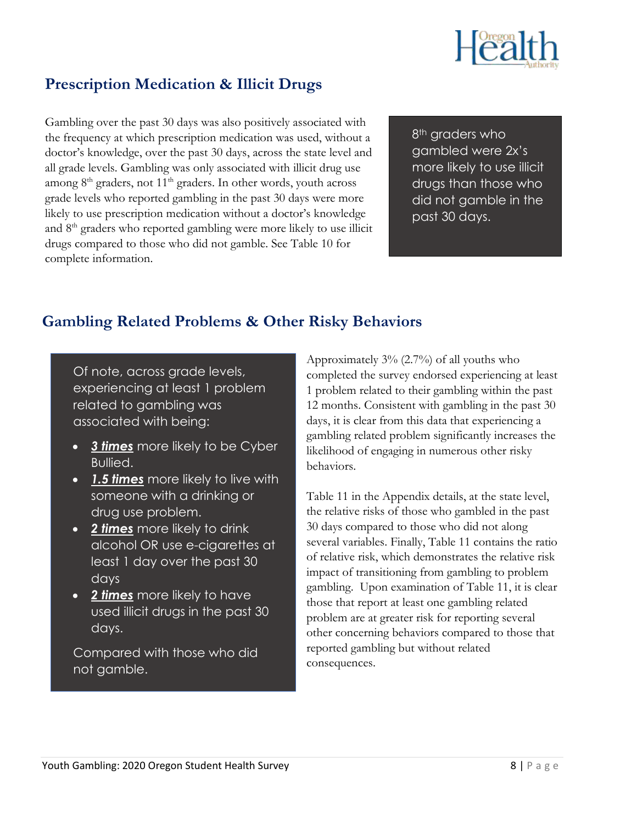

#### **Prescription Medication & Illicit Drugs**

Gambling over the past 30 days was also positively associated with the frequency at which prescription medication was used, without a doctor's knowledge, over the past 30 days, across the state level and all grade levels. Gambling was only associated with illicit drug use among  $8<sup>th</sup>$  graders, not  $11<sup>th</sup>$  graders. In other words, youth across grade levels who reported gambling in the past 30 days were more likely to use prescription medication without a doctor's knowledge and 8th graders who reported gambling were more likely to use illicit drugs compared to those who did not gamble. See Table 10 for complete information.

8<sup>th</sup> graders who gambled were 2x's more likely to use illicit drugs than those who did not gamble in the past 30 days.

#### **Gambling Related Problems & Other Risky Behaviors**

Of note, across grade levels, experiencing at least 1 problem related to gambling was associated with being:

- *3 times* more likely to be Cyber Bullied.
- *1.5 times* more likely to live with someone with a drinking or drug use problem.
- *2 times* more likely to drink alcohol OR use e-cigarettes at least 1 day over the past 30 days
- *2 times* more likely to have used illicit drugs in the past 30 days.

Compared with those who did not gamble.

Approximately 3% (2.7%) of all youths who completed the survey endorsed experiencing at least 1 problem related to their gambling within the past 12 months. Consistent with gambling in the past 30 days, it is clear from this data that experiencing a gambling related problem significantly increases the likelihood of engaging in numerous other risky behaviors.

Table 11 in the Appendix details, at the state level, the relative risks of those who gambled in the past 30 days compared to those who did not along several variables. Finally, Table 11 contains the ratio of relative risk, which demonstrates the relative risk impact of transitioning from gambling to problem gambling. Upon examination of Table 11, it is clear those that report at least one gambling related problem are at greater risk for reporting several other concerning behaviors compared to those that reported gambling but without related consequences.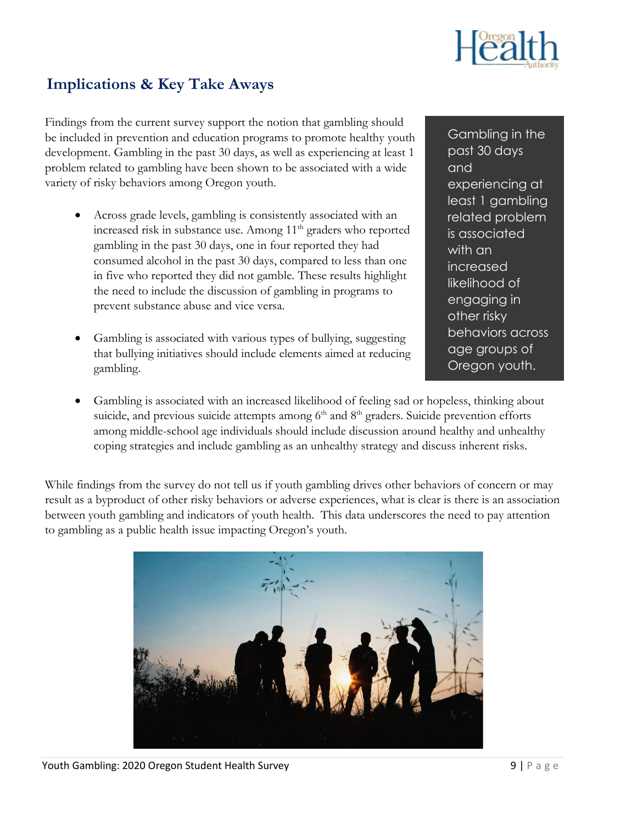

#### **Implications & Key Take Aways**

Findings from the current survey support the notion that gambling should be included in prevention and education programs to promote healthy youth development. Gambling in the past 30 days, as well as experiencing at least 1 problem related to gambling have been shown to be associated with a wide variety of risky behaviors among Oregon youth.

- Across grade levels, gambling is consistently associated with an increased risk in substance use. Among  $11<sup>th</sup>$  graders who reported gambling in the past 30 days, one in four reported they had consumed alcohol in the past 30 days, compared to less than one in five who reported they did not gamble. These results highlight the need to include the discussion of gambling in programs to prevent substance abuse and vice versa.
- Gambling is associated with various types of bullying, suggesting that bullying initiatives should include elements aimed at reducing gambling.

Gambling in the past 30 days and experiencing at least 1 gambling related problem is associated with an increased likelihood of engaging in other risky behaviors across age groups of Oregon youth.

• Gambling is associated with an increased likelihood of feeling sad or hopeless, thinking about suicide, and previous suicide attempts among  $6<sup>th</sup>$  and  $8<sup>th</sup>$  graders. Suicide prevention efforts among middle-school age individuals should include discussion around healthy and unhealthy coping strategies and include gambling as an unhealthy strategy and discuss inherent risks.

While findings from the survey do not tell us if youth gambling drives other behaviors of concern or may result as a byproduct of other risky behaviors or adverse experiences, what is clear is there is an association between youth gambling and indicators of youth health. This data underscores the need to pay attention to gambling as a public health issue impacting Oregon's youth.

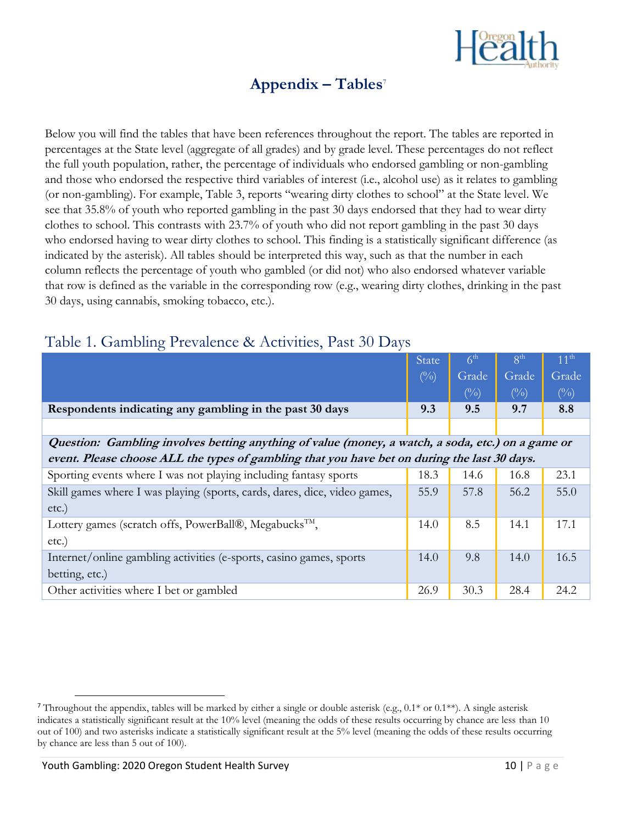

# **Appendix – Tables**<sup>7</sup>

Below you will find the tables that have been references throughout the report. The tables are reported in percentages at the State level (aggregate of all grades) and by grade level. These percentages do not reflect the full youth population, rather, the percentage of individuals who endorsed gambling or non-gambling and those who endorsed the respective third variables of interest (i.e., alcohol use) as it relates to gambling (or non-gambling). For example, Table 3, reports "wearing dirty clothes to school" at the State level. We see that 35.8% of youth who reported gambling in the past 30 days endorsed that they had to wear dirty clothes to school. This contrasts with 23.7% of youth who did not report gambling in the past 30 days who endorsed having to wear dirty clothes to school. This finding is a statistically significant difference (as indicated by the asterisk). All tables should be interpreted this way, such as that the number in each column reflects the percentage of youth who gambled (or did not) who also endorsed whatever variable that row is defined as the variable in the corresponding row (e.g., wearing dirty clothes, drinking in the past 30 days, using cannabis, smoking tobacco, etc.).

|                                                                                                   | <b>State</b>  | 6 <sup>th</sup>            | $8^{\text{th}}$ | 11 <sup>th</sup> |  |  |  |  |  |  |  |
|---------------------------------------------------------------------------------------------------|---------------|----------------------------|-----------------|------------------|--|--|--|--|--|--|--|
|                                                                                                   | $(^{0}/_{0})$ | Grade                      | Grade           | Grade            |  |  |  |  |  |  |  |
|                                                                                                   |               | $\left(\frac{0}{0}\right)$ | $\binom{0}{0}$  | $(\%)$           |  |  |  |  |  |  |  |
| Respondents indicating any gambling in the past 30 days                                           | 9.3           | 9.5                        | 9.7             | 8.8              |  |  |  |  |  |  |  |
|                                                                                                   |               |                            |                 |                  |  |  |  |  |  |  |  |
| Question: Gambling involves betting anything of value (money, a watch, a soda, etc.) on a game or |               |                            |                 |                  |  |  |  |  |  |  |  |
| event. Please choose ALL the types of gambling that you have bet on during the last 30 days.      |               |                            |                 |                  |  |  |  |  |  |  |  |
| Sporting events where I was not playing including fantasy sports                                  | 18.3          | 14.6                       | 16.8            | 23.1             |  |  |  |  |  |  |  |
| Skill games where I was playing (sports, cards, dares, dice, video games,                         | 55.9          | 57.8                       | 56.2            | 55.0             |  |  |  |  |  |  |  |
| etc.)                                                                                             |               |                            |                 |                  |  |  |  |  |  |  |  |
| Lottery games (scratch offs, PowerBall®, Megabucks <sup>™</sup> ,                                 | 14.0          | 8.5                        | 14.1            | 17.1             |  |  |  |  |  |  |  |
| etc.)                                                                                             |               |                            |                 |                  |  |  |  |  |  |  |  |
| Internet/online gambling activities (e-sports, casino games, sports                               | 14.0          | 9.8                        | 14.0            | 16.5             |  |  |  |  |  |  |  |
| betting, etc.)                                                                                    |               |                            |                 |                  |  |  |  |  |  |  |  |
| Other activities where I bet or gambled                                                           | 26.9          | 30.3                       | 28.4            | 24.2             |  |  |  |  |  |  |  |

#### Table 1. Gambling Prevalence & Activities, Past 30 Days

<sup>&</sup>lt;sup>7</sup> Throughout the appendix, tables will be marked by either a single or double asterisk (e.g.,  $0.1^*$  or  $0.1^{**}$ ). A single asterisk indicates a statistically significant result at the 10% level (meaning the odds of these results occurring by chance are less than 10 out of 100) and two asterisks indicate a statistically significant result at the 5% level (meaning the odds of these results occurring by chance are less than 5 out of 100).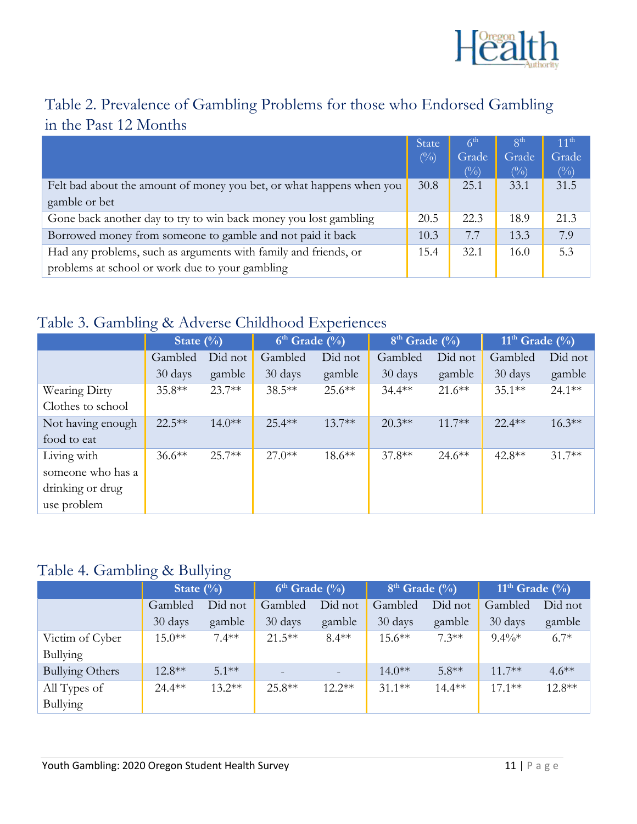

# Table 2. Prevalence of Gambling Problems for those who Endorsed Gambling in the Past 12 Months

|                                                                      | <b>State</b>    | 6 <sup>th</sup> | 8 <sup>th</sup>         | $11^{th}$       |
|----------------------------------------------------------------------|-----------------|-----------------|-------------------------|-----------------|
|                                                                      | $(\frac{0}{0})$ | Grade<br>$(\%)$ | Grade<br>$\binom{0}{0}$ | Grade<br>$(\%)$ |
| Felt bad about the amount of money you bet, or what happens when you | 30.8            | 25.1            | 33.1                    | 31.5            |
| gamble or bet                                                        |                 |                 |                         |                 |
| Gone back another day to try to win back money you lost gambling     | 20.5            | 22.3            | 18.9                    | 21.3            |
| Borrowed money from someone to gamble and not paid it back           | 10.3            | 7.7             | 13.3                    | 7.9             |
| Had any problems, such as arguments with family and friends, or      | 15.4            | 32.1            | 16.0                    | 5.3             |
| problems at school or work due to your gambling                      |                 |                 |                         |                 |

#### Table 3. Gambling & Adverse Childhood Experiences

|                   | State $(\%)$       |          | $6th$ Grade $(\%)$ |           | $8th$ Grade $(\%)$ |           | $11th$ Grade $\overline{(^{0}/_{0})}$ |           |
|-------------------|--------------------|----------|--------------------|-----------|--------------------|-----------|---------------------------------------|-----------|
|                   | Gambled<br>Did not |          | Did not<br>Gambled |           | Did not<br>Gambled |           | Gambled                               | Did not   |
|                   | 30 days            | gamble   | 30 days            | gamble    | 30 days            | gamble    | 30 days                               | gamble    |
| Wearing Dirty     | $35.8**$           | $23.7**$ | $38.5***$          | $25.6***$ | $34.4***$          | $21.6***$ | $35.1***$                             | $24.1***$ |
| Clothes to school |                    |          |                    |           |                    |           |                                       |           |
| Not having enough | $22.5***$          | $14.0**$ | $25.4***$          | $13.7**$  | $20.3**$           | $11.7**$  | $22.4**$                              | $16.3***$ |
| food to eat       |                    |          |                    |           |                    |           |                                       |           |
| Living with       | $36.6***$          | $25.7**$ | $27.0**$           | $18.6***$ | $37.8**$           | $24.6***$ | $42.8**$                              | $31.7**$  |
| someone who has a |                    |          |                    |           |                    |           |                                       |           |
| drinking or drug  |                    |          |                    |           |                    |           |                                       |           |
| use problem       |                    |          |                    |           |                    |           |                                       |           |

#### Table 4. Gambling & Bullying

|                        | State $(\%)$       |          | $6th$ Grade $(\%)$ |          | $8th$ Grade $\overline{(*)}$ |           | $11th$ Grade $\overline{(^{0}/_{0}})$ |          |
|------------------------|--------------------|----------|--------------------|----------|------------------------------|-----------|---------------------------------------|----------|
|                        | Gambled<br>Did not |          | Gambled            | Did not  | Gambled                      | Did not   | Gambled                               | Did not  |
|                        | 30 days            | gamble   | 30 days            | gamble   | 30 days                      | gamble    | 30 days                               | gamble   |
| Victim of Cyber        | $15.0**$           | $7.4**$  | $21.5***$          | $8.4**$  | $15.6***$                    | $7.3**$   | $9.4\%*$                              | $6.7*$   |
| Bullying               |                    |          |                    |          |                              |           |                                       |          |
| <b>Bullying Others</b> | $12.8**$           | $51**$   |                    | $\equiv$ | $14.0**$                     | $5.8**$   | $11.7***$                             | $4.6**$  |
| All Types of           | $24.4***$          | $13.2**$ | $25.8**$           | $12.2**$ | $31.1**$                     | $14.4***$ | $17.1**$                              | $12.8**$ |
| Bullying               |                    |          |                    |          |                              |           |                                       |          |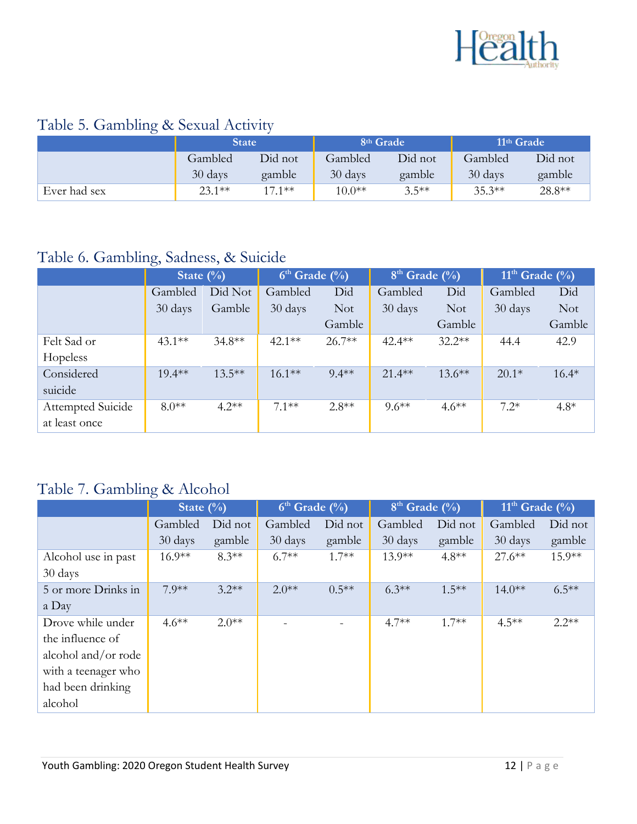

# Table 5. Gambling & Sexual Activity

|              | <b>State</b> |          | 8 <sup>th</sup> Grade |         | 11 <sup>th</sup> Grade |         |  |
|--------------|--------------|----------|-----------------------|---------|------------------------|---------|--|
|              | Gambled      | Did not  | Gambled               | Did not | Gambled                | Did not |  |
|              | 30 days      | gamble   | 30 days               | gamble  | 30 days                | gamble  |  |
| Ever had sex | $23.1**$     | $17.1**$ | $10.0**$              | $3.5**$ | $35.3**$               | 28.8**  |  |

#### Table 6. Gambling, Sadness, & Suicide

|                   | State $(\%)$ |           | $6th$ Grade $(\%)$ |            | $8th$ Grade $(\%)$ |            | $11th$ Grade $\overline{(^{0}/_{0})}$ |            |
|-------------------|--------------|-----------|--------------------|------------|--------------------|------------|---------------------------------------|------------|
|                   | Gambled      | Did Not   | Gambled            | Did        | Gambled            | Did        | Gambled                               | Did        |
|                   | 30 days      | Gamble    | 30 days            | <b>Not</b> | 30 days            | <b>Not</b> | 30 days                               | <b>Not</b> |
|                   |              |           |                    | Gamble     |                    | Gamble     |                                       | Gamble     |
| Felt Sad or       | $43.1**$     | $34.8**$  | $42.1**$           | $26.7**$   | $42.4**$           | $32.2**$   | 44.4                                  | 42.9       |
| Hopeless          |              |           |                    |            |                    |            |                                       |            |
| Considered        | $19.4***$    | $13.5***$ | $16.1***$          | $9.4**$    | $21.4***$          | $13.6***$  | $20.1*$                               | $16.4*$    |
| suicide           |              |           |                    |            |                    |            |                                       |            |
| Attempted Suicide | $8.0**$      | $4.2**$   | $71**$             | $2.8**$    | $9.6**$            | $4.6**$    | $7.2*$                                | $4.8*$     |
| at least once     |              |           |                    |            |                    |            |                                       |            |

# Table 7. Gambling & Alcohol

|                     | State $(\%)$ |         | $6th$ Grade $(\%)$ |          | $8th$ Grade $(\%)$ |          | $11th$ Grade $(\%)$ |          |  |
|---------------------|--------------|---------|--------------------|----------|--------------------|----------|---------------------|----------|--|
|                     | Gambled      | Did not | Gambled            | Did not  | Gambled            | Did not  | Gambled             | Did not  |  |
|                     | 30 days      | gamble  | 30 days            | gamble   | 30 days            | gamble   | 30 days             | gamble   |  |
| Alcohol use in past | $16.9**$     | $8.3**$ | $6.7**$            | $1.7**$  | $13.9**$           | $4.8**$  | $27.6***$           | $15.9**$ |  |
| 30 days             |              |         |                    |          |                    |          |                     |          |  |
| 5 or more Drinks in | $7.9**$      | $3.2**$ | $2.0**$            | $0.5***$ | $6.3**$            | $1.5***$ | $14.0**$            | $6.5***$ |  |
| a Day               |              |         |                    |          |                    |          |                     |          |  |
| Drove while under   | $4.6***$     | $2.0**$ |                    |          | $4.7**$            | $1.7**$  | $4.5***$            | $2.2**$  |  |
| the influence of    |              |         |                    |          |                    |          |                     |          |  |
| alcohol and/or rode |              |         |                    |          |                    |          |                     |          |  |
| with a teenager who |              |         |                    |          |                    |          |                     |          |  |
| had been drinking   |              |         |                    |          |                    |          |                     |          |  |
| alcohol             |              |         |                    |          |                    |          |                     |          |  |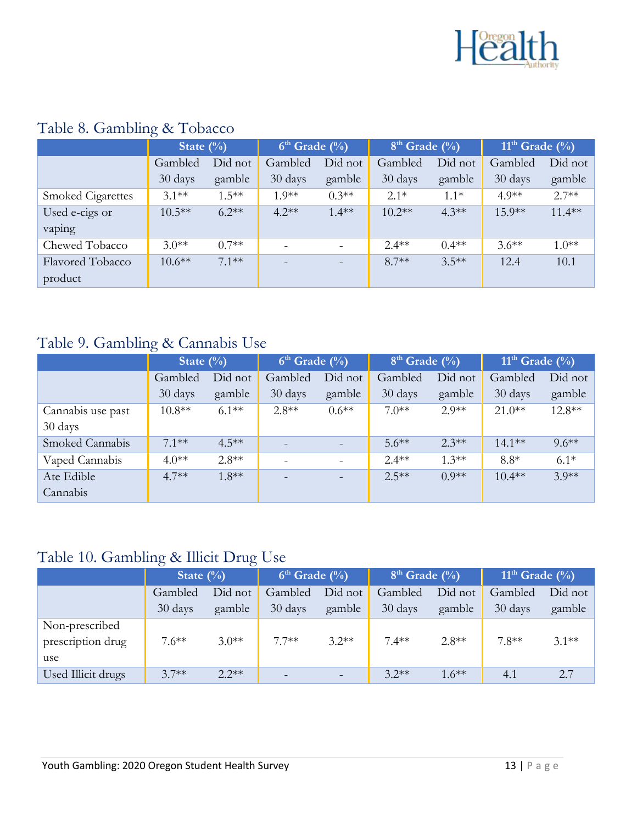

|                          | State $(\%)$ |          | $6th$ Grade $\overline{(*)}$ |                          | $8th$ Grade $(\%)$ |         | $11th$ Grade $(\sqrt[9]{0})$ |           |
|--------------------------|--------------|----------|------------------------------|--------------------------|--------------------|---------|------------------------------|-----------|
|                          | Gambled      | Did not  | Gambled                      | Did not                  | Gambled            | Did not | Gambled                      | Did not   |
|                          | 30 days      | gamble   | 30 days                      | gamble                   | 30 days            | gamble  | 30 days                      | gamble    |
| <b>Smoked Cigarettes</b> | $3.1**$      | $1.5***$ | $1.9**$                      | $0.3**$                  | $2.1*$             | $1.1*$  | $4.9**$                      | $2.7**$   |
| Used e-cigs or           | $10.5***$    | $6.2**$  | $4.2**$                      | $1.4**$                  | $10.2**$           | $4.3**$ | $15.9**$                     | $11.4***$ |
| vaping                   |              |          |                              |                          |                    |         |                              |           |
| Chewed Tobacco           | $3.0**$      | $07**$   | $\qquad \qquad -$            | $\overline{\phantom{a}}$ | $2.4**$            | $0.4**$ | $3.6**$                      | $1.0**$   |
| <b>Flavored Tobacco</b>  | $10.6**$     | $7.1**$  | $\overline{\phantom{0}}$     |                          | $8.7**$            | $3.5**$ | 12.4                         | 10.1      |
| product                  |              |          |                              |                          |                    |         |                              |           |

#### Table 8. Gambling & Tobacco

# Table 9. Gambling & Cannabis Use

|                   | State $(\%)$ |          | $6th$ Grade $\overline{(*)}$ |                          | $8th$ Grade $(\%)$ |         | $11th$ Grade $\overline{(^{0}/_{0})}$ |          |
|-------------------|--------------|----------|------------------------------|--------------------------|--------------------|---------|---------------------------------------|----------|
|                   | Gambled      | Did not  | Gambled                      | Did not                  | Gambled            | Did not | Gambled                               | Did not  |
|                   | 30 days      | gamble   | 30 days                      | gamble                   | 30 days            | gamble  | 30 days                               | gamble   |
| Cannabis use past | $10.8**$     | $6.1**$  | $2.8**$                      | $0.6**$                  | $7.0**$            | $2.9**$ | $21.0***$                             | $12.8**$ |
| 30 days           |              |          |                              |                          |                    |         |                                       |          |
| Smoked Cannabis   | $7.1**$      | $4.5***$ |                              |                          | $5.6***$           | $2.3**$ | $14.1***$                             | $9.6**$  |
| Vaped Cannabis    | $4.0**$      | $2.8**$  | $\overline{\phantom{0}}$     | $\overline{\phantom{a}}$ | $2.4**$            | $1.3**$ | $8.8*$                                | $6.1*$   |
| Ate Edible        | $4.7**$      | $1.8**$  | $\equiv$                     |                          | $2.5***$           | $0.9**$ | $10.4**$                              | $3.9**$  |
| Cannabis          |              |          |                              |                          |                    |         |                                       |          |

#### Table 10. Gambling & Illicit Drug Use

|                    | State $(\% )$      |         | $6th$ Grade $\binom{0}{0}$ |         | $8th$ Grade $(\%)$ |          | $11th$ Grade $\left(\frac{0}{0}\right)$ |         |
|--------------------|--------------------|---------|----------------------------|---------|--------------------|----------|-----------------------------------------|---------|
|                    | Did not<br>Gambled |         | Gambled                    | Did not | Gambled            | Did not  | Gambled                                 | Did not |
|                    | 30 days            | gamble  | 30 days                    | gamble  | 30 days            | gamble   | 30 days                                 | gamble  |
| Non-prescribed     |                    |         |                            |         |                    |          |                                         |         |
| prescription drug  | $7.6***$           | $3.0**$ | $7.7**$                    | $3.2**$ | $7.4**$            | $2.8**$  | $7.8**$                                 | $3.1**$ |
| use                |                    |         |                            |         |                    |          |                                         |         |
| Used Illicit drugs | $3.7**$            | $2.2**$ | $\equiv$                   |         | $3.2**$            | $1.6***$ | 4.1                                     | 2.7     |